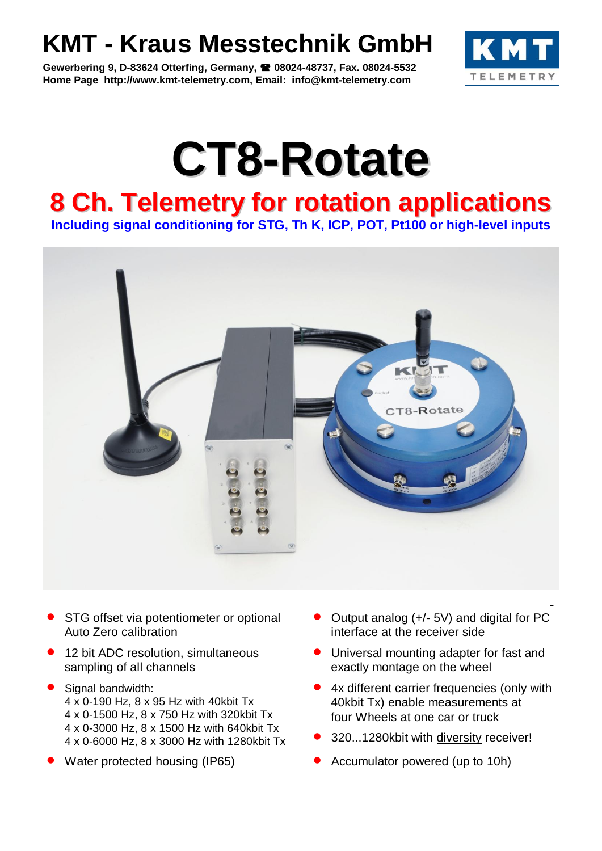## **KMT - Kraus Messtechnik GmbH**

**Gewerbering 9, D-83624 Otterfing, Germany, 08024-48737, Fax. 08024-5532 Home Page http://www.kmt-telemetry.com, Email: info@kmt-telemetry.com**



# **CT8-Rotate**

## **8 Ch. Telemetry for rotation applications**

**Including signal conditioning for STG, Th K, ICP, POT, Pt100 or high-level inputs**



- STG offset via potentiometer or optional Auto Zero calibration
- 12 bit ADC resolution, simultaneous sampling of all channels
- Signal bandwidth: 4 x 0-190 Hz, 8 x 95 Hz with 40kbit Tx 4 x 0-1500 Hz, 8 x 750 Hz with 320kbit Tx 4 x 0-3000 Hz, 8 x 1500 Hz with 640kbit Tx 4 x 0-6000 Hz, 8 x 3000 Hz with 1280kbit Tx
- 
- Output analog (+/- 5V) and digital for PC interface at the receiver side
- **•** Universal mounting adapter for fast and exactly montage on the wheel
- 4x different carrier frequencies (only with 40kbit Tx) enable measurements at four Wheels at one car or truck
- 320...1280kbit with diversity receiver!
- Water protected housing (IP65) **CONCO Accumulator powered (up to 10h)**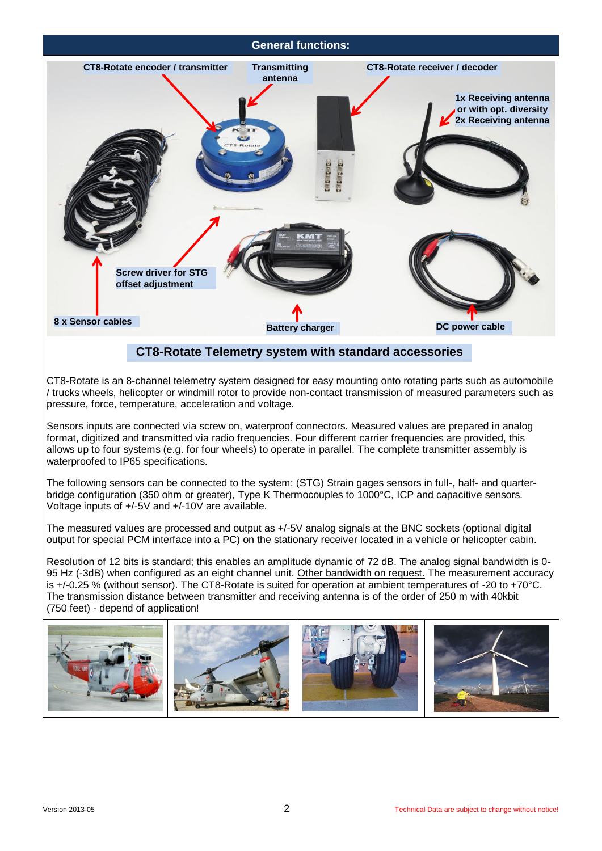

## **CT8-Rotate Telemetry system with standard accessories**

CT8-Rotate is an 8-channel telemetry system designed for easy mounting onto rotating parts such as automobile / trucks wheels, helicopter or windmill rotor to provide non-contact transmission of measured parameters such as pressure, force, temperature, acceleration and voltage.

Sensors inputs are connected via screw on, waterproof connectors. Measured values are prepared in analog format, digitized and transmitted via radio frequencies. Four different carrier frequencies are provided, this allows up to four systems (e.g. for four wheels) to operate in parallel. The complete transmitter assembly is waterproofed to IP65 specifications.

The following sensors can be connected to the system: (STG) Strain gages sensors in full-, half- and quarterbridge configuration (350 ohm or greater), Type K Thermocouples to 1000°C, ICP and capacitive sensors. Voltage inputs of +/-5V and +/-10V are available.

The measured values are processed and output as +/-5V analog signals at the BNC sockets (optional digital output for special PCM interface into a PC) on the stationary receiver located in a vehicle or helicopter cabin.

Resolution of 12 bits is standard; this enables an amplitude dynamic of 72 dB. The analog signal bandwidth is 0- 95 Hz (-3dB) when configured as an eight channel unit. Other bandwidth on request. The measurement accuracy is +/-0.25 % (without sensor). The CT8-Rotate is suited for operation at ambient temperatures of -20 to +70°C. The transmission distance between transmitter and receiving antenna is of the order of 250 m with 40kbit (750 feet) - depend of application!

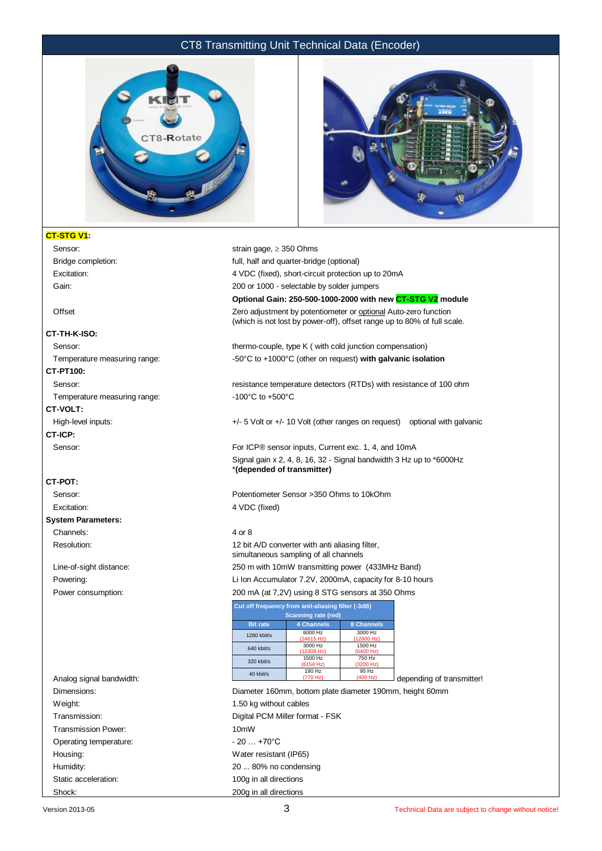#### CT8 Transmitting Unit Technical Data (Encoder)





#### **CT-STG V1:**

Bridge completion: full, half and quarter-bridge (optional)

#### **CT-TH-K-ISO:**

### **CT-PT100:**

**CT-VOLT:**

**CT-ICP:**

#### **CT-POT:**

#### **System Parameters:**

Channels: 4 or 8

| Analog signal bandwidth: | 40 kbit/s              |
|--------------------------|------------------------|
| Dimensions:              | Diameter 160mm, bo     |
| Weight:                  | 1.50 kg without cable  |
| Transmission:            | Digital PCM Miller for |
| Transmission Power:      | 10 <sub>m</sub> W      |
| Operating temperature:   | $-20$ $+70^{\circ}$ C  |
| Housing:                 | Water resistant (IP65  |
| Humidity:                | 20  80% no conder      |
| Static acceleration:     | 100g in all directions |
| Shock:                   | 200g in all directions |

Sensor: Sensor: strain gage,  $\geq$  350 Ohms

Excitation: 4 VDC (fixed), short-circuit protection up to 20mA

Gain: Gain: 200 or 1000 - selectable by solder jumpers

#### **Optional Gain: 250-500-1000-2000 with new CT-STG V2 module**

Offset **Zero adjustment by potentiometer or optional** Auto-zero function (which is not lost by power-off), offset range up to 80% of full scale.

Sensor: thermo-couple, type K ( with cold junction compensation) Temperature measuring range:  $-50^{\circ}$ C to +1000°C (other on request) **with galvanic isolation** 

Sensor: **resistance temperature detectors (RTDs)** with resistance of 100 ohm Temperature measuring range:  $-100^{\circ}$ C to +500°C

High-level inputs:  $+/-5$  Volt or  $+/-10$  Volt (other ranges on request) optional with galvanic

Sensor: For ICP® sensor inputs, Current exc. 1, 4, and 10mA Signal gain x 2, 4, 8, 16, 32 - Signal bandwidth 3 Hz up to \*6000Hz \***(depended of transmitter)**

Sensor: Potentiometer Sensor >350 Ohms to 10kOhm Excitation: 4 VDC (fixed)

Resolution: 12 bit A/D converter with anti aliasing filter, simultaneous sampling of all channels Line-of-sight distance: 250 m with 10mW transmitting power (433MHz Band) Powering: Li Ion Accumulator 7.2V, 2000mA, capacity for 8-10 hours Power consumption: 200 mA (at 7,2V) using 8 STG sensors at 350 Ohms

|                 | Cut off frequency from anit-aliasing filter (-3dB) |                       |                           |
|-----------------|----------------------------------------------------|-----------------------|---------------------------|
|                 | <b>Scanning rate (red)</b>                         |                       |                           |
| <b>Bit rate</b> | <b>4 Channels</b>                                  | 8 Channels            |                           |
| 1280 kbit/s     | 6000 Hz<br>(24615 Hz)                              | 3000 Hz<br>(12800 Hz) |                           |
| 640 kbit/s      | 3000 Hz<br>(12308 Hz)                              | 1500 Hz<br>(6400 Hz)  |                           |
| 320 kbit/s      | 1500 Hz<br>(6154 Hz)                               | 750 Hz<br>(3200 Hz)   |                           |
| 40 kbit/s       | 190 Hz<br>(770 Hz)                                 | 95 Hz<br>(400 Hz)     | depending of transmitter! |

Diameter 160mm, bottom plate diameter 190mm, height 60mm 1.50 kg without cables Digital PCM Miller format - FSK  $-20 +70^{\circ}$ C Water resistant (IP65) 20 ... 80% no condensing 100g in all directions